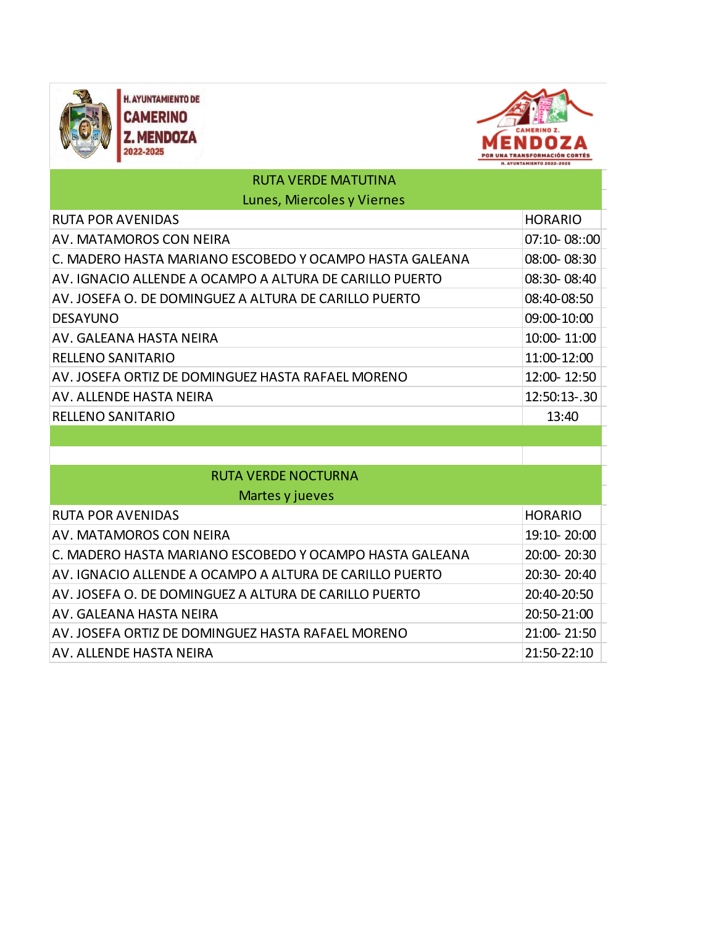



| <b>RUTA VERDE MATUTINA</b>                              |                |
|---------------------------------------------------------|----------------|
| Lunes, Miercoles y Viernes                              |                |
| <b>RUTA POR AVENIDAS</b>                                | <b>HORARIO</b> |
| <b>AV. MATAMOROS CON NEIRA</b>                          | 07:10-08::00   |
| C. MADERO HASTA MARIANO ESCOBEDO Y OCAMPO HASTA GALEANA | 08:00-08:30    |
| AV. IGNACIO ALLENDE A OCAMPO A ALTURA DE CARILLO PUERTO | 08:30-08:40    |
| AV. JOSEFA O. DE DOMINGUEZ A ALTURA DE CARILLO PUERTO   | 08:40-08:50    |
| <b>DESAYUNO</b>                                         | 09:00-10:00    |
| AV. GALEANA HASTA NEIRA                                 | 10:00-11:00    |
| <b>RELLENO SANITARIO</b>                                | 11:00-12:00    |
| AV. JOSEFA ORTIZ DE DOMINGUEZ HASTA RAFAEL MORENO       | 12:00-12:50    |
| AV. ALLENDE HASTA NEIRA                                 | 12:50:13-.30   |
| <b>RELLENO SANITARIO</b>                                | 13:40          |
|                                                         |                |
|                                                         |                |
| <b>RUTA VERDE NOCTURNA</b>                              |                |
| Martes y jueves                                         |                |
| <b>RUTA POR AVENIDAS</b>                                | <b>HORARIO</b> |
| AV. MATAMOROS CON NEIRA                                 | 19:10-20:00    |
| C. MADERO HASTA MARIANO ESCOBEDO Y OCAMPO HASTA GALEANA | 20:00-20:30    |
| AV. IGNACIO ALLENDE A OCAMPO A ALTURA DE CARILLO PUERTO | 20:30-20:40    |
| AV. JOSEFA O. DE DOMINGUEZ A ALTURA DE CARILLO PUERTO   | 20:40-20:50    |
| AV. GALEANA HASTA NEIRA                                 | 20:50-21:00    |
| AV. JOSEFA ORTIZ DE DOMINGUEZ HASTA RAFAEL MORENO       | 21:00-21:50    |
| AV. ALLENDE HASTA NEIRA                                 | 21:50-22:10    |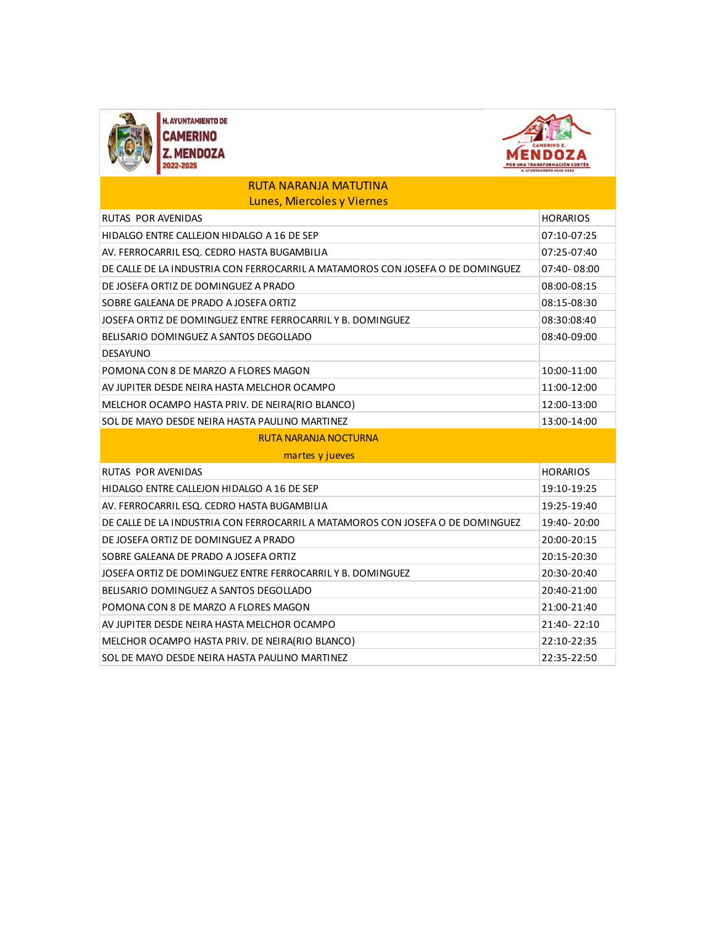



## RUTA NARANJA MATUTINA Lunes, Miercoles y Viernes

| <b>RUTAS POR AVENIDAS</b>                                                      | <b>HORARIOS</b> |
|--------------------------------------------------------------------------------|-----------------|
| HIDALGO ENTRE CALLEJON HIDALGO A 16 DE SEP                                     | 07:10-07:25     |
| AV. FERROCARRIL ESQ. CEDRO HASTA BUGAMBILIA                                    | 07:25-07:40     |
| DE CALLE DE LA INDUSTRIA CON FERROCARRIL A MATAMOROS CON JOSEFA O DE DOMINGUEZ | 07:40-08:00     |
| DE JOSEFA ORTIZ DE DOMINGUEZ A PRADO                                           | 08:00-08:15     |
| SOBRE GALEANA DE PRADO A JOSEFA ORTIZ                                          | 08:15-08:30     |
| JOSEFA ORTIZ DE DOMINGUEZ ENTRE FERROCARRIL Y B. DOMINGUEZ                     | 08:30:08:40     |
| BELISARIO DOMINGUEZ A SANTOS DEGOLLADO                                         | 08:40-09:00     |
| <b>DESAYUNO</b>                                                                |                 |
| POMONA CON 8 DE MARZO A FLORES MAGON                                           | 10:00-11:00     |
| AV JUPITER DESDE NEIRA HASTA MELCHOR OCAMPO                                    | 11:00-12:00     |
| MELCHOR OCAMPO HASTA PRIV. DE NEIRA(RIO BLANCO)                                | 12:00-13:00     |
| SOL DE MAYO DESDE NEIRA HASTA PAULINO MARTINEZ                                 | 13:00-14:00     |
| <b>RUTA NARANJA NOCTURNA</b>                                                   |                 |
| martes y jueves                                                                |                 |
| <b>RUTAS POR AVENIDAS</b>                                                      | <b>HORARIOS</b> |
| HIDALGO ENTRE CALLEJON HIDALGO A 16 DE SEP                                     |                 |
|                                                                                | 19:10-19:25     |
| AV. FERROCARRIL ESQ. CEDRO HASTA BUGAMBILIA                                    | 19:25-19:40     |
| DE CALLE DE LA INDUSTRIA CON FERROCARRIL A MATAMOROS CON JOSEFA O DE DOMINGUEZ | 19:40-20:00     |
| DE JOSEFA ORTIZ DE DOMINGUEZ A PRADO                                           | 20:00-20:15     |
| SOBRE GALEANA DE PRADO A JOSEFA ORTIZ                                          | 20:15-20:30     |
| JOSEFA ORTIZ DE DOMINGUEZ ENTRE FERROCARRIL Y B. DOMINGUEZ                     | 20:30-20:40     |
| BELISARIO DOMINGUEZ A SANTOS DEGOLLADO                                         | 20:40-21:00     |
| POMONA CON 8 DE MARZO A FLORES MAGON                                           | 21:00-21:40     |
| AV JUPITER DESDE NEIRA HASTA MELCHOR OCAMPO                                    | 21:40-22:10     |
| MELCHOR OCAMPO HASTA PRIV. DE NEIRA(RIO BLANCO)                                | 22:10-22:35     |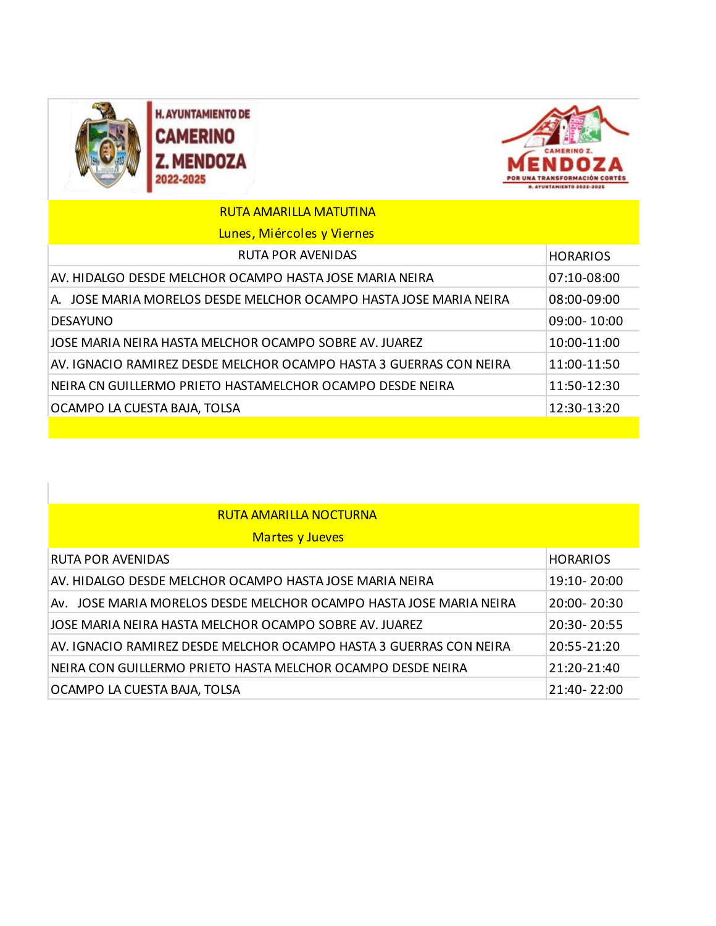

**H. AYUNTAMIENTO DE CAMERINO** Z. MENDOZA 2022-2025



| <b>RUTA AMARILLA MATUTINA</b>                                      |                 |
|--------------------------------------------------------------------|-----------------|
| Lunes, Miércoles y Viernes                                         |                 |
| <b>RUTA POR AVENIDAS</b>                                           | <b>HORARIOS</b> |
| AV. HIDALGO DESDE MELCHOR OCAMPO HASTA JOSE MARIA NEIRA            | $07:10 - 08:00$ |
| A. JOSE MARIA MORELOS DESDE MELCHOR OCAMPO HASTA JOSE MARIA NEIRA  | 08:00-09:00     |
| <b>DESAYUNO</b>                                                    | $09:00 - 10:00$ |
| JOSE MARIA NEIRA HASTA MELCHOR OCAMPO SOBRE AV. JUAREZ             | 10:00-11:00     |
| AV. IGNACIO RAMIREZ DESDE MELCHOR OCAMPO HASTA 3 GUERRAS CON NEIRA | 11:00-11:50     |
| NEIRA CN GUILLERMO PRIETO HASTAMELCHOR OCAMPO DESDE NEIRA          | 11:50-12:30     |
| OCAMPO LA CUESTA BAJA, TOLSA                                       | 12:30-13:20     |
|                                                                    |                 |

## RUTA AMARILLA NOCTURNA

| <b>Martes y Jueves</b>                                             |                 |
|--------------------------------------------------------------------|-----------------|
| <b>RUTA POR AVENIDAS</b>                                           | <b>HORARIOS</b> |
| AV. HIDALGO DESDE MELCHOR OCAMPO HASTA JOSE MARIA NEIRA            | 19:10-20:00     |
| AV. JOSE MARIA MORELOS DESDE MELCHOR OCAMPO HASTA JOSE MARIA NEIRA | 20:00-20:30     |
| LIOSE MARIA NEIRA HASTA MELCHOR OCAMPO SOBRE AV. JUAREZ            | 20:30-20:55     |
| AV. IGNACIO RAMIREZ DESDE MELCHOR OCAMPO HASTA 3 GUERRAS CON NEIRA | 20:55-21:20     |
| NEIRA CON GUILLERMO PRIETO HASTA MELCHOR OCAMPO DESDE NEIRA        | 21:20-21:40     |
| OCAMPO LA CUESTA BAJA, TOLSA                                       | 21:40-22:00     |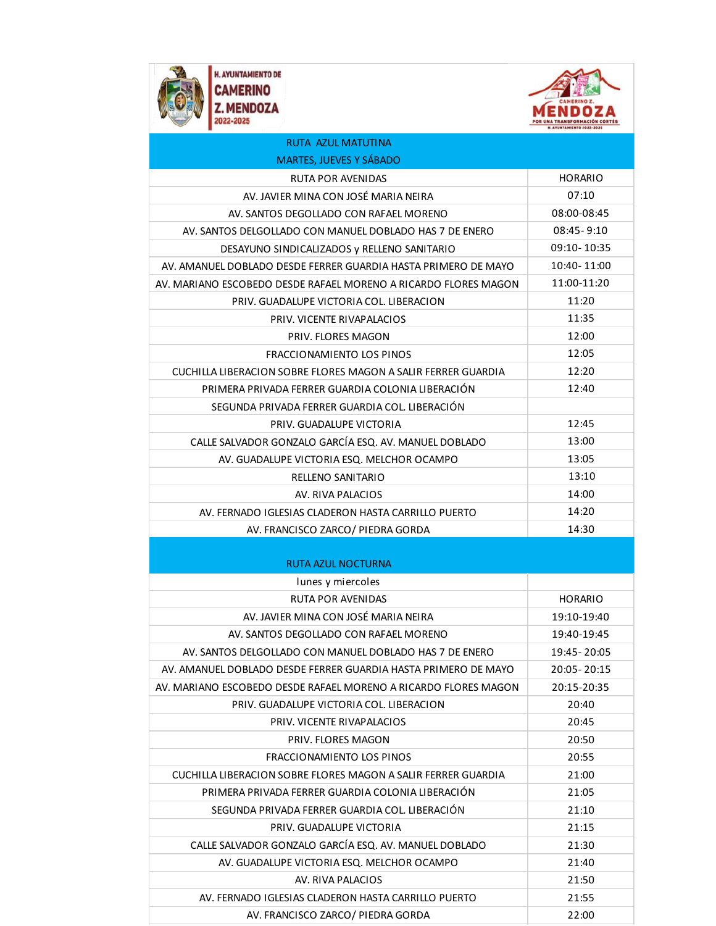



| <b>RUTA AZUL MATUTINA</b>                                       |                |
|-----------------------------------------------------------------|----------------|
| <b>MARTES, JUEVES Y SÁBADO</b>                                  |                |
| <b>RUTA POR AVENIDAS</b>                                        | <b>HORARIO</b> |
| AV. JAVIER MINA CON JOSÉ MARIA NEIRA                            | 07:10          |
| AV. SANTOS DEGOLLADO CON RAFAEL MORENO                          | 08:00-08:45    |
| AV. SANTOS DELGOLLADO CON MANUEL DOBLADO HAS 7 DE ENERO         | $08:45 - 9:10$ |
| DESAYUNO SINDICALIZADOS y RELLENO SANITARIO                     | 09:10-10:35    |
| AV. AMANUEL DOBLADO DESDE FERRER GUARDIA HASTA PRIMERO DE MAYO  | 10:40-11:00    |
| AV. MARIANO ESCOBEDO DESDE RAFAEL MORENO A RICARDO FLORES MAGON | 11:00-11:20    |
| PRIV. GUADALUPE VICTORIA COL. LIBERACION                        | 11:20          |
| PRIV. VICENTE RIVAPALACIOS                                      | 11:35          |
| PRIV. FLORES MAGON                                              | 12:00          |
| FRACCIONAMIENTO LOS PINOS                                       | 12:05          |
| CUCHILLA LIBERACION SOBRE FLORES MAGON A SALIR FERRER GUARDIA   | 12:20          |
| PRIMERA PRIVADA FERRER GUARDIA COLONIA LIBERACIÓN               | 12:40          |
| SEGUNDA PRIVADA FERRER GUARDIA COL. LIBERACIÓN                  |                |
| PRIV. GUADALUPE VICTORIA                                        | 12:45          |
| CALLE SALVADOR GONZALO GARCÍA ESQ. AV. MANUEL DOBLADO           | 13:00          |
| AV. GUADALUPE VICTORIA ESQ. MELCHOR OCAMPO                      | 13:05          |
| RELLENO SANITARIO                                               | 13:10          |
| AV. RIVA PALACIOS                                               | 14:00          |
| AV. FERNADO IGLESIAS CLADERON HASTA CARRILLO PUERTO             | 14:20          |
| AV. FRANCISCO ZARCO/ PIEDRA GORDA                               | 14:30          |
|                                                                 |                |
| <b>RUTA AZUL NOCTURNA</b>                                       |                |
| lunes y miercoles                                               |                |
| <b>RUTA POR AVENIDAS</b>                                        | <b>HORARIO</b> |
| AV. JAVIER MINA CON JOSÉ MARIA NEIRA                            | 19:10-19:40    |
| AV. SANTOS DEGOLLADO CON RAFAEL MORENO                          | 19:40-19:45    |
| AV. SANTOS DELGOLLADO CON MANUEL DOBLADO HAS 7 DE ENERO         | 19:45 - 20:05  |
| AV. AMANUEL DOBLADO DESDE FERRER GUARDIA HASTA PRIMERO DE MAYO  | 20:05 - 20:15  |
| AV. MARIANO ESCOBEDO DESDE RAFAEL MORENO A RICARDO FLORES MAGON | 20:15-20:35    |
| PRIV. GUADALUPE VICTORIA COL. LIBERACION                        | 20:40          |
| PRIV. VICENTE RIVAPALACIOS                                      | 20:45          |
| PRIV. FLORES MAGON                                              | 20:50          |
| FRACCIONAMIENTO LOS PINOS                                       | 20:55          |
| CUCHILLA LIBERACION SOBRE FLORES MAGON A SALIR FERRER GUARDIA   | 21:00          |
| PRIMERA PRIVADA FERRER GUARDIA COLONIA LIBERACIÓN               | 21:05          |
| SEGUNDA PRIVADA FERRER GUARDIA COL. LIBERACIÓN                  | 21:10          |
| PRIV. GUADALUPE VICTORIA                                        | 21:15          |
| CALLE SALVADOR GONZALO GARCÍA ESQ. AV. MANUEL DOBLADO           | 21:30          |
| AV. GUADALUPE VICTORIA ESQ. MELCHOR OCAMPO                      | 21:40          |
| AV. RIVA PALACIOS                                               | 21:50          |
| AV. FERNADO IGLESIAS CLADERON HASTA CARRILLO PUERTO             | 21:55          |
| AV. FRANCISCO ZARCO/ PIEDRA GORDA                               | 22:00          |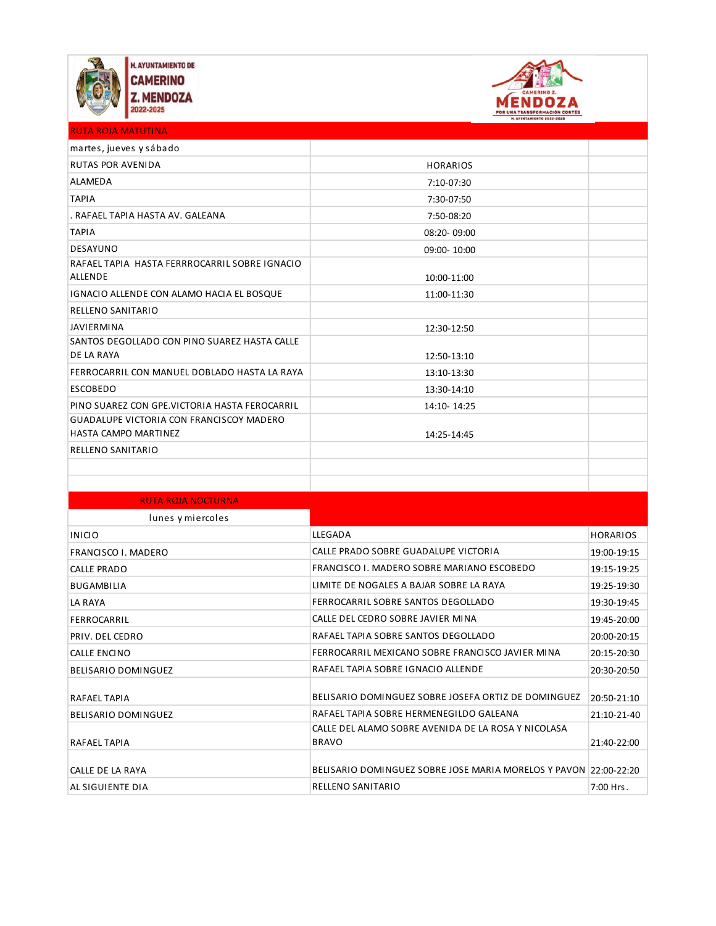



| <b>RUTA ROJA MATUTINA</b>                                                      |                 |  |
|--------------------------------------------------------------------------------|-----------------|--|
| martes, jueves y sábado                                                        |                 |  |
| <b>RUTAS POR AVENIDA</b>                                                       | <b>HORARIOS</b> |  |
| <b>ALAMEDA</b>                                                                 | 7:10-07:30      |  |
| <b>TAPIA</b>                                                                   | 7:30-07:50      |  |
| . RAFAEL TAPIA HASTA AV. GALEANA                                               | 7:50-08:20      |  |
| <b>TAPIA</b>                                                                   | 08:20-09:00     |  |
| <b>DESAYUNO</b>                                                                | 09:00-10:00     |  |
| RAFAEL TAPIA HASTA FERRROCARRIL SOBRE IGNACIO<br><b>ALLENDE</b>                | 10:00-11:00     |  |
| <b>IGNACIO ALLENDE CON ALAMO HACIA EL BOSQUE</b>                               | 11:00-11:30     |  |
| <b>RELLENO SANITARIO</b>                                                       |                 |  |
| <b>JAVIERMINA</b>                                                              | 12:30-12:50     |  |
| SANTOS DEGOLLADO CON PINO SUAREZ HASTA CALLE<br>DE LA RAYA                     | 12:50-13:10     |  |
| FERROCARRIL CON MANUEL DOBLADO HASTA LA RAYA                                   | 13:10-13:30     |  |
| <b>ESCOBEDO</b>                                                                | 13:30-14:10     |  |
| PINO SUAREZ CON GPE.VICTORIA HASTA FEROCARRIL                                  | 14:10-14:25     |  |
| <b>GUADALUPE VICTORIA CON FRANCISCOY MADERO</b><br><b>HASTA CAMPO MARTINEZ</b> | 14:25-14:45     |  |
| <b>RELLENO SANITARIO</b>                                                       |                 |  |
|                                                                                |                 |  |
|                                                                                |                 |  |

| <b>RUTA ROJA NOCTURNA</b>  |                                                                     |                 |
|----------------------------|---------------------------------------------------------------------|-----------------|
| lunes y miercoles          |                                                                     |                 |
| <b>INICIO</b>              | LLEGADA                                                             | <b>HORARIOS</b> |
| <b>FRANCISCO I. MADERO</b> | CALLE PRADO SOBRE GUADALUPE VICTORIA                                | 19:00-19:15     |
| <b>CALLE PRADO</b>         | FRANCISCO I. MADERO SOBRE MARIANO ESCOBEDO                          | 19:15-19:25     |
| <b>BUGAMBILIA</b>          | LIMITE DE NOGALES A BAJAR SOBRE LA RAYA                             | 19:25-19:30     |
| <b>LA RAYA</b>             | FERROCARRIL SOBRE SANTOS DEGOLLADO                                  | 19:30-19:45     |
| FERROCARRIL                | CALLE DEL CEDRO SOBRE JAVIER MINA                                   | 19:45-20:00     |
| PRIV. DEL CEDRO            | RAFAEL TAPIA SOBRE SANTOS DEGOLLADO                                 | 20:00-20:15     |
| <b>CALLE ENCINO</b>        | FERROCARRIL MEXICANO SOBRE FRANCISCO JAVIER MINA                    | 20:15-20:30     |
| <b>BELISARIO DOMINGUEZ</b> | RAFAEL TAPIA SOBRE IGNACIO ALLENDE                                  | 20:30-20:50     |
| <b>RAFAEL TAPIA</b>        | BELISARIO DOMINGUEZ SOBRE JOSEFA ORTIZ DE DOMINGUEZ                 | 20:50-21:10     |
| <b>BELISARIO DOMINGUEZ</b> | RAFAEL TAPIA SOBRE HERMENEGILDO GALEANA                             | 21:10-21-40     |
| <b>RAFAEL TAPIA</b>        | CALLE DEL ALAMO SOBRE AVENIDA DE LA ROSA Y NICOLASA<br><b>BRAVO</b> | 21:40-22:00     |
| CALLE DE LA RAYA           | BELISARIO DOMINGUEZ SOBRE JOSE MARIA MORELOS Y PAVON 22:00-22:20    |                 |
| AL SIGUIENTE DIA           | <b>RELLENO SANITARIO</b>                                            | 7:00 Hrs.       |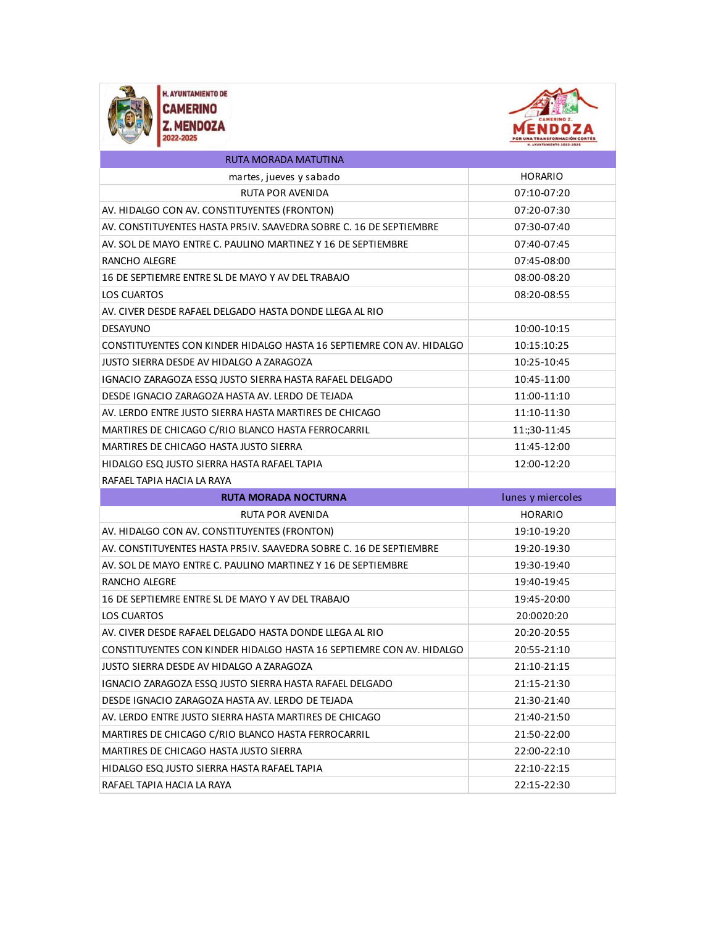



| RUTA MORADA MATUTINA                                                 |                   |
|----------------------------------------------------------------------|-------------------|
| martes, jueves y sabado                                              | <b>HORARIO</b>    |
| <b>RUTA POR AVENIDA</b>                                              | 07:10-07:20       |
| AV. HIDALGO CON AV. CONSTITUYENTES (FRONTON)                         | 07:20-07:30       |
| AV. CONSTITUYENTES HASTA PR5IV. SAAVEDRA SOBRE C. 16 DE SEPTIEMBRE   | 07:30-07:40       |
| AV. SOL DE MAYO ENTRE C. PAULINO MARTINEZ Y 16 DE SEPTIEMBRE         | 07:40-07:45       |
| RANCHO ALEGRE                                                        | 07:45-08:00       |
| 16 DE SEPTIEMRE ENTRE SL DE MAYO Y AV DEL TRABAJO                    | 08:00-08:20       |
| LOS CUARTOS                                                          | 08:20-08:55       |
| AV. CIVER DESDE RAFAEL DELGADO HASTA DONDE LLEGA AL RIO              |                   |
| <b>DESAYUNO</b>                                                      | 10:00-10:15       |
| CONSTITUYENTES CON KINDER HIDALGO HASTA 16 SEPTIEMRE CON AV. HIDALGO | 10:15:10:25       |
| JUSTO SIERRA DESDE AV HIDALGO A ZARAGOZA                             | 10:25-10:45       |
| IGNACIO ZARAGOZA ESSQ JUSTO SIERRA HASTA RAFAEL DELGADO              | 10:45-11:00       |
| DESDE IGNACIO ZARAGOZA HASTA AV. LERDO DE TEJADA                     | 11:00-11:10       |
| AV. LERDO ENTRE JUSTO SIERRA HASTA MARTIRES DE CHICAGO               | 11:10-11:30       |
| MARTIRES DE CHICAGO C/RIO BLANCO HASTA FERROCARRIL                   | 11:;30-11:45      |
| MARTIRES DE CHICAGO HASTA JUSTO SIERRA                               | 11:45-12:00       |
| HIDALGO ESQ JUSTO SIERRA HASTA RAFAEL TAPIA                          | 12:00-12:20       |
|                                                                      |                   |
| RAFAEL TAPIA HACIA LA RAYA                                           |                   |
| <b>RUTA MORADA NOCTURNA</b>                                          | lunes y miercoles |
| RUTA POR AVENIDA                                                     | <b>HORARIO</b>    |
| AV. HIDALGO CON AV. CONSTITUYENTES (FRONTON)                         | 19:10-19:20       |
| AV. CONSTITUYENTES HASTA PR5IV. SAAVEDRA SOBRE C. 16 DE SEPTIEMBRE   | 19:20-19:30       |
| AV. SOL DE MAYO ENTRE C. PAULINO MARTINEZ Y 16 DE SEPTIEMBRE         | 19:30-19:40       |
| RANCHO ALEGRE                                                        | 19:40-19:45       |
| 16 DE SEPTIEMRE ENTRE SL DE MAYO Y AV DEL TRABAJO                    | 19:45-20:00       |
| <b>LOS CUARTOS</b>                                                   | 20:0020:20        |
| AV. CIVER DESDE RAFAEL DELGADO HASTA DONDE LLEGA AL RIO              | 20:20-20:55       |
| CONSTITUYENTES CON KINDER HIDALGO HASTA 16 SEPTIEMRE CON AV. HIDALGO | 20:55-21:10       |
| JUSTO SIERRA DESDE AV HIDALGO A ZARAGOZA                             | 21:10-21:15       |
| IGNACIO ZARAGOZA ESSQ JUSTO SIERRA HASTA RAFAEL DELGADO              | 21:15-21:30       |
| DESDE IGNACIO ZARAGOZA HASTA AV. LERDO DE TEJADA                     | 21:30-21:40       |
| AV. LERDO ENTRE JUSTO SIERRA HASTA MARTIRES DE CHICAGO               | 21:40-21:50       |
| MARTIRES DE CHICAGO C/RIO BLANCO HASTA FERROCARRIL                   | 21:50-22:00       |
| MARTIRES DE CHICAGO HASTA JUSTO SIERRA                               | 22:00-22:10       |
| HIDALGO ESQ JUSTO SIERRA HASTA RAFAEL TAPIA                          | 22:10-22:15       |